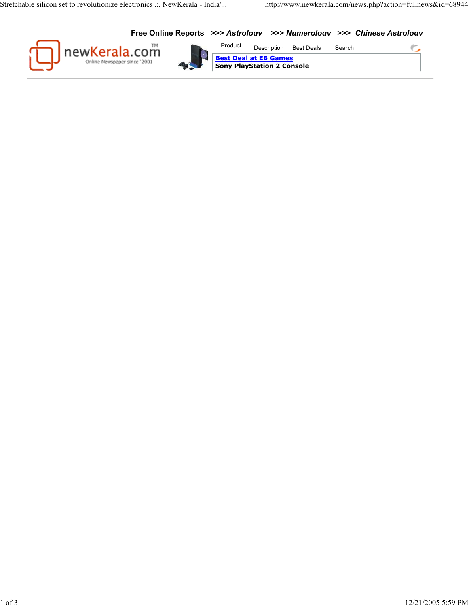C

**Free Online Reports >>>** *Astrology* **>>>** *Numerology* **>>>** *Chinese Astrology*





Description Best Deals Search **Sony PlayStation 2 Console Best Deal at EB Games** Product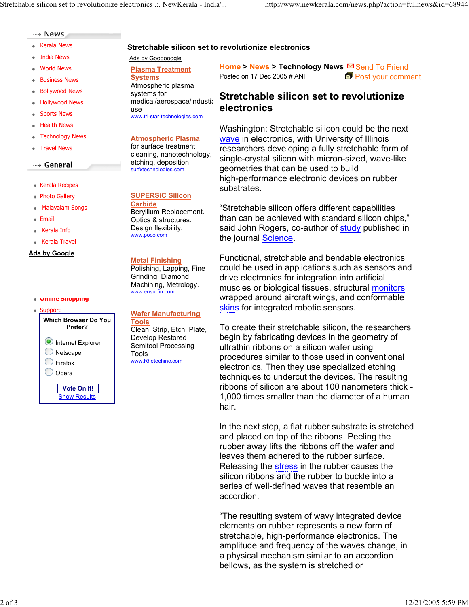### ---> News

- Kerala News
- India News
- World News
- **Business News**
- Bollywood News ٠
- Hollywood News
- **Sports News**
- Health News  $\Phi$  .
- Technology News
- Travel News

### $\rightarrow$  General

- Kerala Recipes
- Photo Gallery
- ٠ Malayalam Songs
- Email
- Kerala Info ٠
- Kerala Travel

### Ads by Google

### **Online Shopping**



**Plasma Treatment Systems** Atmospheric plasma systems for medical/aerospace/industia use www.tri-star-technologies.com

Ads by Goooooogle

**Stretchable silicon set to revolutionize electronics**

**Atmospheric Plasma** for surface treatment, cleaning, nanotechnology, etching, deposition surfxtechnologies.com

## **SUPERSiC Silicon**

**Carbide** Beryllium Replacement. Optics & structures. Design flexibility. www.poco.com

### **Metal Finishing**

Polishing, Lapping, Fine Grinding, Diamond Machining, Metrology. www.ensurfin.com

# **Wafer Manufacturing**

**Tools** Clean, Strip, Etch, Plate, Develop Restored Semitool Processing Tools www.Rhetechinc.com

**Home > News > Technology News ⊠ Send To Friend** Posted on 17 Dec 2005 # ANI  $\overline{2P}$  Post your comment

# **Stretchable silicon set to revolutionize electronics**

Washington: Stretchable silicon could be the next wave in electronics, with University of Illinois researchers developing a fully stretchable form of single-crystal silicon with micron-sized, wave-like geometries that can be used to build high-performance electronic devices on rubber substrates.

"Stretchable silicon offers different capabilities than can be achieved with standard silicon chips," said John Rogers, co-author of **study** published in the journal <u>Science</u>.

Functional, stretchable and bendable electronics could be used in applications such as sensors and drive electronics for integration into artificial muscles or biological tissues, structural *monitors* wrapped around aircraft wings, and conformable skins for integrated robotic sensors.

To create their stretchable silicon, the researchers begin by fabricating devices in the geometry of ultrathin ribbons on a silicon wafer using procedures similar to those used in conventional electronics. Then they use specialized etching techniques to undercut the devices. The resulting ribbons of silicon are about 100 nanometers thick - 1,000 times smaller than the diameter of a human hair.

In the next step, a flat rubber substrate is stretched and placed on top of the ribbons. Peeling the rubber away lifts the ribbons off the wafer and leaves them adhered to the rubber surface. Releasing the **stress** in the rubber causes the silicon ribbons and the rubber to buckle into a series of well-defined waves that resemble an accordion.

"The resulting system of wavy integrated device elements on rubber represents a new form of stretchable, high-performance electronics. The amplitude and frequency of the waves change, in a physical mechanism similar to an accordion bellows, as the system is stretched or